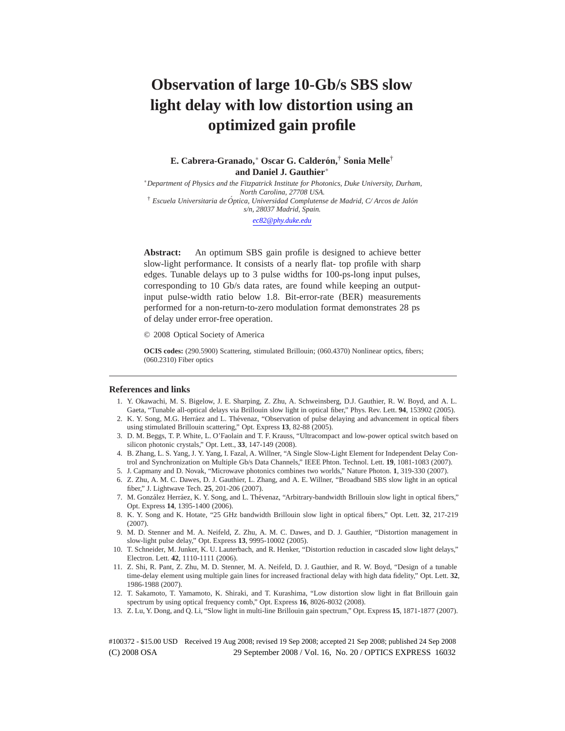# **Observation of large 10-Gb/s SBS slow light delay with low distortion using an optimized gain profile**

**E. Cabrera-Granado,**<sup>∗</sup> **Oscar G. Calderon, ´** † **Sonia Melle**† **and Daniel J. Gauthier**∗

∗*Department of Physics and the Fitzpatrick Institute for Photonics, Duke University, Durham, North Carolina, 27708 USA.* † *Escuela Universitaria de Optica, Universidad Complutense de Madrid, C/ Arcos de Jal´ ´ on s/n, 28037 Madrid, Spain.*

*ec82@phy.duke.edu*

**Abstract:** An optimum SBS gain profile is designed to achieve better slow-light performance. It consists of a nearly flat- top profile with sharp edges. Tunable delays up to 3 pulse widths for 100-ps-long input pulses, corresponding to 10 Gb/s data rates, are found while keeping an outputinput pulse-width ratio below 1.8. Bit-error-rate (BER) measurements performed for a non-return-to-zero modulation format demonstrates 28 ps of delay under error-free operation.

© 2008 Optical Society of America

**OCIS codes:** (290.5900) Scattering, stimulated Brillouin; (060.4370) Nonlinear optics, fibers; (060.2310) Fiber optics

#### **References and links**

- 1. Y. Okawachi, M. S. Bigelow, J. E. Sharping, Z. Zhu, A. Schweinsberg, D.J. Gauthier, R. W. Boyd, and A. L. Gaeta, "Tunable all-optical delays via Brillouin slow light in optical fiber," Phys. Rev. Lett. **94**, 153902 (2005).
- 2. K. Y. Song, M.G. Herráez and L. Thévenaz, "Observation of pulse delaying and advancement in optical fibers using stimulated Brillouin scattering," Opt. Express **13**, 82-88 (2005).
- 3. D. M. Beggs, T. P. White, L. O'Faolain and T. F. Krauss, "Ultracompact and low-power optical switch based on silicon photonic crystals," Opt. Lett., **33**, 147-149 (2008).
- 4. B. Zhang, L. S. Yang, J. Y. Yang, I. Fazal, A. Willner, "A Single Slow-Light Element for Independent Delay Control and Synchronization on Multiple Gb/s Data Channels," IEEE Phton. Technol. Lett. **19**, 1081-1083 (2007).
- 5. J. Capmany and D. Novak, "Microwave photonics combines two worlds," Nature Photon. **1**, 319-330 (2007).
- 6. Z. Zhu, A. M. C. Dawes, D. J. Gauthier, L. Zhang, and A. E. Willner, "Broadband SBS slow light in an optical fiber," J. Lightwave Tech. **25**, 201-206 (2007).
- 7. M. González Herráez, K. Y. Song, and L. Thévenaz, "Arbitrary-bandwidth Brillouin slow light in optical fibers," Opt. Express **14**, 1395-1400 (2006).
- 8. K. Y. Song and K. Hotate, "25 GHz bandwidth Brillouin slow light in optical fibers," Opt. Lett. **32**, 217-219 (2007).
- 9. M. D. Stenner and M. A. Neifeld, Z. Zhu, A. M. C. Dawes, and D. J. Gauthier, "Distortion management in slow-light pulse delay," Opt. Express **13**, 9995-10002 (2005).
- 10. T. Schneider, M. Junker, K. U. Lauterbach, and R. Henker, "Distortion reduction in cascaded slow light delays," Electron. Lett. **42**, 1110-1111 (2006).
- 11. Z. Shi, R. Pant, Z. Zhu, M. D. Stenner, M. A. Neifeld, D. J. Gauthier, and R. W. Boyd, "Design of a tunable time-delay element using multiple gain lines for increased fractional delay with high data fidelity," Opt. Lett. **32**, 1986-1988 (2007).
- 12. T. Sakamoto, T. Yamamoto, K. Shiraki, and T. Kurashima, "Low distortion slow light in flat Brillouin gain spectrum by using optical frequency comb," Opt. Express **16**, 8026-8032 (2008).
- 13. Z. Lu, Y. Dong, and Q. Li, "Slow light in multi-line Brillouin gain spectrum," Opt. Express **15**, 1871-1877 (2007).

(C) 2008 OSA 29 September 2008 / Vol. 16, No. 20 / OPTICS EXPRESS 16032 #100372 - \$15.00 USD Received 19 Aug 2008; revised 19 Sep 2008; accepted 21 Sep 2008; published 24 Sep 2008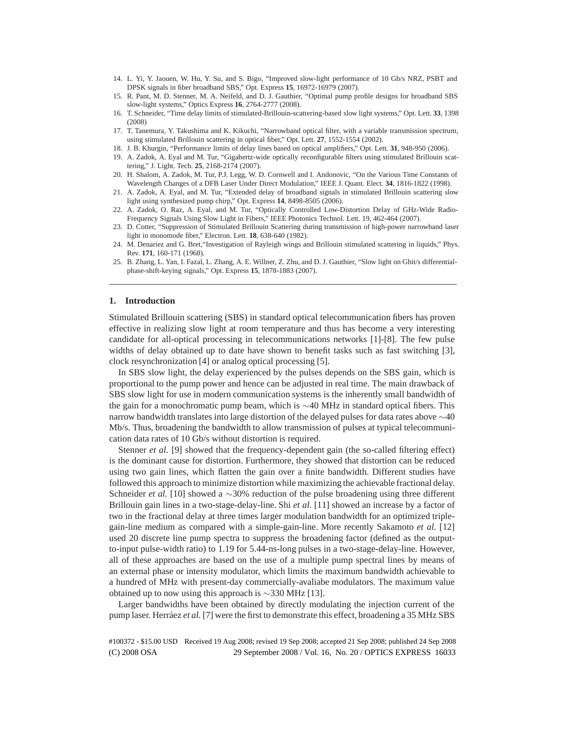- 14. L. Yi, Y. Jaouen, W. Hu, Y. Su, and S. Bigo, "Improved slow-light performance of 10 Gb/s NRZ, PSBT and DPSK signals in fiber broadband SBS," Opt. Express **15**, 16972-16979 (2007).
- 15. R. Pant, M. D. Stenner, M. A. Neifeld, and D. J. Gauthier, "Optimal pump profile designs for broadband SBS slow-light systems," Optics Express **16**, 2764-2777 (2008).
- 16. T. Schneider, "Time delay limits of stimulated-Brillouin-scattering-based slow light systems," Opt. Lett. **33**, 1398 (2008)
- 17. T. Tanemura, Y. Takushima and K. Kikuchi, "Narrowband optical filter, with a variable transmission spectrum, using stimulated Brillouin scattering in optical fiber," Opt. Lett. **27**, 1552-1554 (2002).
- 18. J. B. Khurgin, "Performance limits of delay lines based on optical amplifiers," Opt. Lett. **31**, 948-950 (2006).
- 19. A. Zadok, A. Eyal and M. Tur, "Gigahertz-wide optically reconfigurable filters using stimulated Brillouin scattering," J. Light. Tech. **25**, 2168-2174 (2007).
- 20. H. Shalom, A. Zadok, M. Tur, P.J. Legg, W. D. Cornwell and I. Andonovic, "On the Various Time Constants of Wavelength Changes of a DFB Laser Under Direct Modulation," IEEE J. Quant. Elect. **34**, 1816-1822 (1998).
- 21. A. Zadok, A. Eyal, and M. Tur, "Extended delay of broadband signals in stimulated Brillouin scattering slow light using synthesized pump chirp," Opt. Express **14**, 8498-8505 (2006).
- 22. A. Zadok, O. Raz, A. Eyal, and M. Tur, "Optically Controlled Low-Distortion Delay of GHz-Wide Radio-Frequency Signals Using Slow Light in Fibers," IEEE Photonics Technol. Lett. 19, 462-464 (2007).
- 23. D. Cotter, "Suppression of Stimulated Brillouin Scattering during transmission of high-power narrowband laser light in monomode fiber," Electron. Lett. **18**, 638-640 (1982).
- 24. M. Denariez and G. Bret,"Investigation of Rayleigh wings and Brillouin stimulated scattering in liquids," Phys. Rev. **171**, 160-171 (1968).
- 25. B. Zhang, L. Yan, I. Fazal, L. Zhang, A. E. Willner, Z. Zhu, and D. J. Gauthier, "Slow light on Gbit/s differentialphase-shift-keying signals," Opt. Express **15**, 1878-1883 (2007).

## **1. Introduction**

Stimulated Brillouin scattering (SBS) in standard optical telecommunication fibers has proven effective in realizing slow light at room temperature and thus has become a very interesting candidate for all-optical processing in telecommunications networks [1]-[8]. The few pulse widths of delay obtained up to date have shown to benefit tasks such as fast switching [3], clock resynchronization [4] or analog optical processing [5].

In SBS slow light, the delay experienced by the pulses depends on the SBS gain, which is proportional to the pump power and hence can be adjusted in real time. The main drawback of SBS slow light for use in modern communication systems is the inherently small bandwidth of the gain for a monochromatic pump beam, which is ∼40 MHz in standard optical fibers. This narrow bandwidth translates into large distortion of the delayed pulses for data rates above  $\sim$ 40 Mb/s. Thus, broadening the bandwidth to allow transmission of pulses at typical telecommunication data rates of 10 Gb/s without distortion is required.

Stenner *et al.* [9] showed that the frequency-dependent gain (the so-called filtering effect) is the dominant cause for distortion. Furthermore, they showed that distortion can be reduced using two gain lines, which flatten the gain over a finite bandwidth. Different studies have followed this approach to minimize distortion while maximizing the achievable fractional delay. Schneider *et al.* [10] showed a ∼30% reduction of the pulse broadening using three different Brillouin gain lines in a two-stage-delay-line. Shi *et al.* [11] showed an increase by a factor of two in the fractional delay at three times larger modulation bandwidth for an optimized triplegain-line medium as compared with a simple-gain-line. More recently Sakamoto *et al.* [12] used 20 discrete line pump spectra to suppress the broadening factor (defined as the outputto-input pulse-width ratio) to 1.19 for 5.44-ns-long pulses in a two-stage-delay-line. However, all of these approaches are based on the use of a multiple pump spectral lines by means of an external phase or intensity modulator, which limits the maximum bandwidth achievable to a hundred of MHz with present-day commercially-avaliabe modulators. The maximum value obtained up to now using this approach is  $\sim$ 330 MHz [13].

Larger bandwidths have been obtained by directly modulating the injection current of the pump laser. Herráez *et al.* [7] were the first to demonstrate this effect, broadening a 35 MHz SBS

(C) 2008 OSA 29 September 2008 / Vol. 16, No. 20 / OPTICS EXPRESS 16033 #100372 - \$15.00 USD Received 19 Aug 2008; revised 19 Sep 2008; accepted 21 Sep 2008; published 24 Sep 2008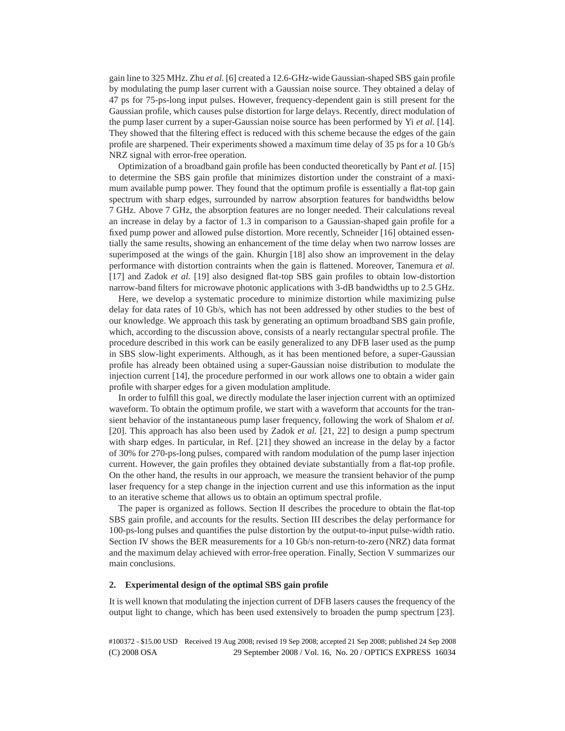gain line to 325 MHz. Zhu *et al.* [6] created a 12.6-GHz-wide Gaussian-shaped SBS gain profile by modulating the pump laser current with a Gaussian noise source. They obtained a delay of 47 ps for 75-ps-long input pulses. However, frequency-dependent gain is still present for the Gaussian profile, which causes pulse distortion for large delays. Recently, direct modulation of the pump laser current by a super-Gaussian noise source has been performed by Yi *et al.* [14]. They showed that the filtering effect is reduced with this scheme because the edges of the gain profile are sharpened. Their experiments showed a maximum time delay of 35 ps for a 10 Gb/s NRZ signal with error-free operation.

Optimization of a broadband gain profile has been conducted theoretically by Pant *et al.* [15] to determine the SBS gain profile that minimizes distortion under the constraint of a maximum available pump power. They found that the optimum profile is essentially a flat-top gain spectrum with sharp edges, surrounded by narrow absorption features for bandwidths below 7 GHz. Above 7 GHz, the absorption features are no longer needed. Their calculations reveal an increase in delay by a factor of 1.3 in comparison to a Gaussian-shaped gain profile for a fixed pump power and allowed pulse distortion. More recently, Schneider [16] obtained essentially the same results, showing an enhancement of the time delay when two narrow losses are superimposed at the wings of the gain. Khurgin [18] also show an improvement in the delay performance with distortion contraints when the gain is flattened. Moreover, Tanemura *et al.* [17] and Zadok *et al.* [19] also designed flat-top SBS gain profiles to obtain low-distortion narrow-band filters for microwave photonic applications with 3-dB bandwidths up to 2.5 GHz.

Here, we develop a systematic procedure to minimize distortion while maximizing pulse delay for data rates of 10 Gb/s, which has not been addressed by other studies to the best of our knowledge. We approach this task by generating an optimum broadband SBS gain profile, which, according to the discussion above, consists of a nearly rectangular spectral profile. The procedure described in this work can be easily generalized to any DFB laser used as the pump in SBS slow-light experiments. Although, as it has been mentioned before, a super-Gaussian profile has already been obtained using a super-Gaussian noise distribution to modulate the injection current [14], the procedure performed in our work allows one to obtain a wider gain profile with sharper edges for a given modulation amplitude.

In order to fulfill this goal, we directly modulate the laser injection current with an optimized waveform. To obtain the optimum profile, we start with a waveform that accounts for the transient behavior of the instantaneous pump laser frequency, following the work of Shalom *et al.* [20]. This approach has also been used by Zadok *et al.* [21, 22] to design a pump spectrum with sharp edges. In particular, in Ref. [21] they showed an increase in the delay by a factor of 30% for 270-ps-long pulses, compared with random modulation of the pump laser injection current. However, the gain profiles they obtained deviate substantially from a flat-top profile. On the other hand, the results in our approach, we measure the transient behavior of the pump laser frequency for a step change in the injection current and use this information as the input to an iterative scheme that allows us to obtain an optimum spectral profile.

The paper is organized as follows. Section II describes the procedure to obtain the flat-top SBS gain profile, and accounts for the results. Section III describes the delay performance for 100-ps-long pulses and quantifies the pulse distortion by the output-to-input pulse-width ratio. Section IV shows the BER measurements for a 10 Gb/s non-return-to-zero (NRZ) data format and the maximum delay achieved with error-free operation. Finally, Section V summarizes our main conclusions.

## **2. Experimental design of the optimal SBS gain profile**

It is well known that modulating the injection current of DFB lasers causes the frequency of the output light to change, which has been used extensively to broaden the pump spectrum [23].

(C) 2008 OSA 29 September 2008 / Vol. 16, No. 20 / OPTICS EXPRESS 16034 #100372 - \$15.00 USD Received 19 Aug 2008; revised 19 Sep 2008; accepted 21 Sep 2008; published 24 Sep 2008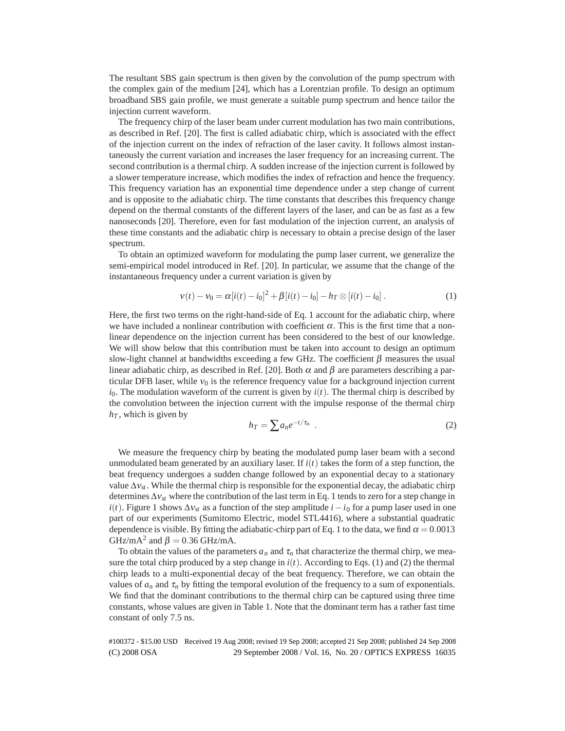The resultant SBS gain spectrum is then given by the convolution of the pump spectrum with the complex gain of the medium [24], which has a Lorentzian profile. To design an optimum broadband SBS gain profile, we must generate a suitable pump spectrum and hence tailor the injection current waveform.

The frequency chirp of the laser beam under current modulation has two main contributions, as described in Ref. [20]. The first is called adiabatic chirp, which is associated with the effect of the injection current on the index of refraction of the laser cavity. It follows almost instantaneously the current variation and increases the laser frequency for an increasing current. The second contribution is a thermal chirp. A sudden increase of the injection current is followed by a slower temperature increase, which modifies the index of refraction and hence the frequency. This frequency variation has an exponential time dependence under a step change of current and is opposite to the adiabatic chirp. The time constants that describes this frequency change depend on the thermal constants of the different layers of the laser, and can be as fast as a few nanoseconds [20]. Therefore, even for fast modulation of the injection current, an analysis of these time constants and the adiabatic chirp is necessary to obtain a precise design of the laser spectrum.

To obtain an optimized waveform for modulating the pump laser current, we generalize the semi-empirical model introduced in Ref. [20]. In particular, we assume that the change of the instantaneous frequency under a current variation is given by

$$
v(t) - v_0 = \alpha [i(t) - i_0]^2 + \beta [i(t) - i_0] - h_T \otimes [i(t) - i_0].
$$
 (1)

Here, the first two terms on the right-hand-side of Eq. 1 account for the adiabatic chirp, where we have included a nonlinear contribution with coefficient  $\alpha$ . This is the first time that a nonlinear dependence on the injection current has been considered to the best of our knowledge. We will show below that this contribution must be taken into account to design an optimum slow-light channel at bandwidths exceeding a few GHz. The coefficient  $\beta$  measures the usual linear adiabatic chirp, as described in Ref. [20]. Both  $\alpha$  and  $\beta$  are parameters describing a particular DFB laser, while  $v_0$  is the reference frequency value for a background injection current  $i<sub>0</sub>$ . The modulation waveform of the current is given by  $i(t)$ . The thermal chirp is described by the convolution between the injection current with the impulse response of the thermal chirp  $h<sub>T</sub>$ , which is given by

$$
h_T = \sum a_n e^{-t/\tau_n} \tag{2}
$$

We measure the frequency chirp by beating the modulated pump laser beam with a second unmodulated beam generated by an auxiliary laser. If  $i(t)$  takes the form of a step function, the beat frequency undergoes a sudden change followed by an exponential decay to a stationary value  $\Delta v_{st}$ . While the thermal chirp is responsible for the exponential decay, the adiabatic chirp determines  $\Delta v_{st}$  where the contribution of the last term in Eq. 1 tends to zero for a step change in  $i(t)$ . Figure 1 shows  $\Delta v_{st}$  as a function of the step amplitude  $i-i_0$  for a pump laser used in one part of our experiments (Sumitomo Electric, model STL4416), where a substantial quadratic dependence is visible. By fitting the adiabatic-chirp part of Eq. 1 to the data, we find  $\alpha = 0.0013$ GHz/mA<sup>2</sup> and  $\beta = 0.36$  GHz/mA.

To obtain the values of the parameters  $a_n$  and  $\tau_n$  that characterize the thermal chirp, we measure the total chirp produced by a step change in  $i(t)$ . According to Eqs. (1) and (2) the thermal chirp leads to a multi-exponential decay of the beat frequency. Therefore, we can obtain the values of  $a_n$  and  $\tau_n$  by fitting the temporal evolution of the frequency to a sum of exponentials. We find that the dominant contributions to the thermal chirp can be captured using three time constants, whose values are given in Table 1. Note that the dominant term has a rather fast time constant of only 7.5 ns.

(C) 2008 OSA 29 September 2008 / Vol. 16, No. 20 / OPTICS EXPRESS 16035 #100372 - \$15.00 USD Received 19 Aug 2008; revised 19 Sep 2008; accepted 21 Sep 2008; published 24 Sep 2008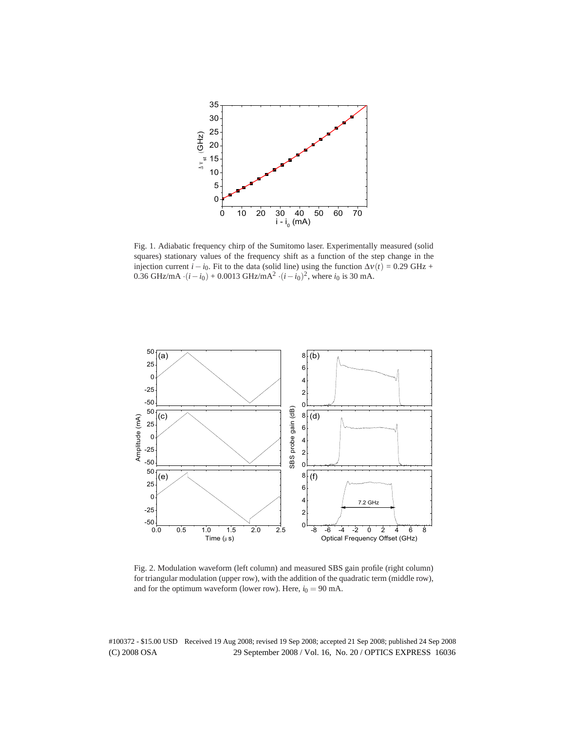

Fig. 1. Adiabatic frequency chirp of the Sumitomo laser. Experimentally measured (solid squares) stationary values of the frequency shift as a function of the step change in the injection current  $i - i_0$ . Fit to the data (solid line) using the function  $\Delta v(t) = 0.29 \text{ GHz} +$ 0.36 GHz/mA  $\cdot (i - i_0) + 0.0013$  GHz/mA<sup>2</sup>  $\cdot (i - i_0)^2$ , where  $i_0$  is 30 mA.



Fig. 2. Modulation waveform (left column) and measured SBS gain profile (right column) for triangular modulation (upper row), with the addition of the quadratic term (middle row), and for the optimum waveform (lower row). Here,  $i_0 = 90$  mA.

(C) 2008 OSA 29 September 2008 / Vol. 16, No. 20 / OPTICS EXPRESS 16036 #100372 - \$15.00 USD Received 19 Aug 2008; revised 19 Sep 2008; accepted 21 Sep 2008; published 24 Sep 2008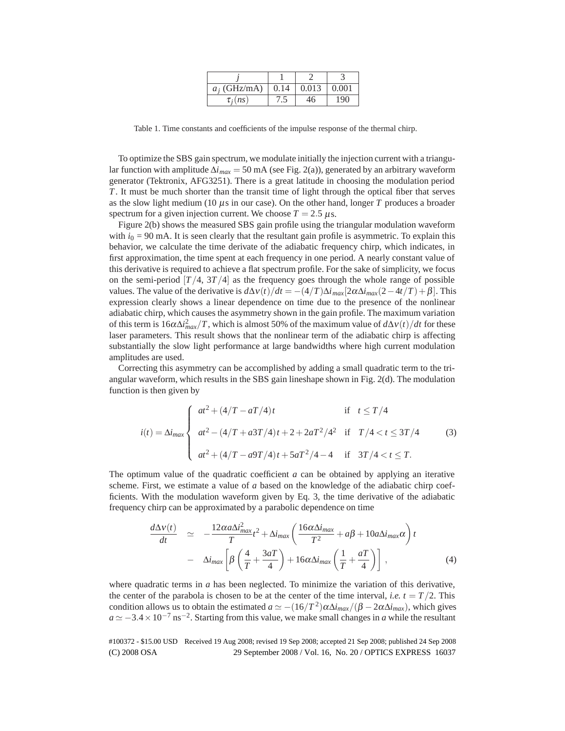| $a_i$ (GHz/mA) | 0.14 | 0.013 | 0.001 |
|----------------|------|-------|-------|
| $\tau_i(n_S)$  |      |       | 190   |

Table 1. Time constants and coefficients of the impulse response of the thermal chirp.

To optimize the SBS gain spectrum, we modulate initially the injection current with a triangular function with amplitude  $\Delta i_{max} = 50$  mA (see Fig. 2(a)), generated by an arbitrary waveform generator (Tektronix, AFG3251). There is a great latitude in choosing the modulation period *T*. It must be much shorter than the transit time of light through the optical fiber that serves as the slow light medium (10  $\mu$ s in our case). On the other hand, longer *T* produces a broader spectrum for a given injection current. We choose  $T = 2.5 \,\mu s$ .

Figure 2(b) shows the measured SBS gain profile using the triangular modulation waveform with  $i_0 = 90$  mA. It is seen clearly that the resultant gain profile is asymmetric. To explain this behavior, we calculate the time derivate of the adiabatic frequency chirp, which indicates, in first approximation, the time spent at each frequency in one period. A nearly constant value of this derivative is required to achieve a flat spectrum profile. For the sake of simplicity, we focus on the semi-period  $[T/4, 3T/4]$  as the frequency goes through the whole range of possible values. The value of the derivative is  $d\Delta v(t)/dt = -(4/T)\Delta i_{max}[2\alpha\Delta i_{max}(2-4t/T)+\beta]$ . This expression clearly shows a linear dependence on time due to the presence of the nonlinear adiabatic chirp, which causes the asymmetry shown in the gain profile. The maximum variation of this term is  $16\alpha\Delta i_{max}^2/T$ , which is almost 50% of the maximum value of  $d\Delta v(t)/dt$  for these laser parameters. This result shows that the nonlinear term of the adiabatic chirp is affecting substantially the slow light performance at large bandwidths where high current modulation amplitudes are used.

Correcting this asymmetry can be accomplished by adding a small quadratic term to the triangular waveform, which results in the SBS gain lineshape shown in Fig. 2(d). The modulation function is then given by

$$
i(t) = \Delta i_{max} \begin{cases} at^2 + (4/T - aT/4)t & \text{if } t \le T/4 \\ at^2 - (4/T + a3T/4)t + 2 + 2aT^2/4^2 & \text{if } T/4 < t \le 3T/4 \\ at^2 + (4/T - a9T/4)t + 5aT^2/4 - 4 & \text{if } 3T/4 < t \le T. \end{cases}
$$
(3)

The optimum value of the quadratic coefficient *a* can be obtained by applying an iterative scheme. First, we estimate a value of *a* based on the knowledge of the adiabatic chirp coefficients. With the modulation waveform given by Eq. 3, the time derivative of the adiabatic frequency chirp can be approximated by a parabolic dependence on time

$$
\frac{d\Delta v(t)}{dt} \simeq -\frac{12\alpha a \Delta i_{max}^2}{T} t^2 + \Delta i_{max} \left( \frac{16\alpha \Delta i_{max}}{T^2} + a\beta + 10a \Delta i_{max} \alpha \right) t \n- \Delta i_{max} \left[ \beta \left( \frac{4}{T} + \frac{3aT}{4} \right) + 16\alpha \Delta i_{max} \left( \frac{1}{T} + \frac{aT}{4} \right) \right],
$$
\n(4)

where quadratic terms in  $a$  has been neglected. To minimize the variation of this derivative, the center of the parabola is chosen to be at the center of the time interval, *i.e.*  $t = T/2$ . This condition allows us to obtain the estimated  $a \simeq -(16/T^2)\alpha\Delta i_{max}/(\beta - 2\alpha\Delta i_{max})$ , which gives  $a \simeq -3.4 \times 10^{-7}$  ns<sup>-2</sup>. Starting from this value, we make small changes in *a* while the resultant

(C) 2008 OSA 29 September 2008 / Vol. 16, No. 20 / OPTICS EXPRESS 16037 #100372 - \$15.00 USD Received 19 Aug 2008; revised 19 Sep 2008; accepted 21 Sep 2008; published 24 Sep 2008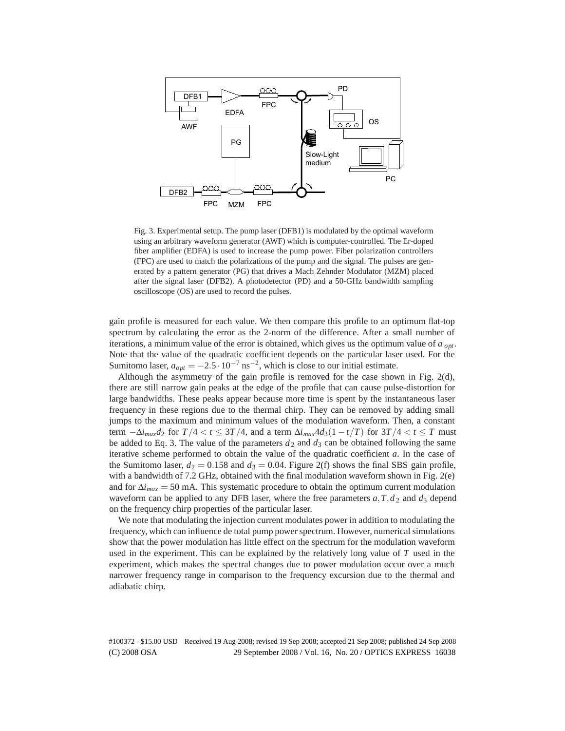

Fig. 3. Experimental setup. The pump laser (DFB1) is modulated by the optimal waveform using an arbitrary waveform generator (AWF) which is computer-controlled. The Er-doped fiber amplifier (EDFA) is used to increase the pump power. Fiber polarization controllers (FPC) are used to match the polarizations of the pump and the signal. The pulses are generated by a pattern generator (PG) that drives a Mach Zehnder Modulator (MZM) placed after the signal laser (DFB2). A photodetector (PD) and a 50-GHz bandwidth sampling oscilloscope (OS) are used to record the pulses.

gain profile is measured for each value. We then compare this profile to an optimum flat-top spectrum by calculating the error as the 2-norm of the difference. After a small number of iterations, a minimum value of the error is obtained, which gives us the optimum value of *a opt*. Note that the value of the quadratic coefficient depends on the particular laser used. For the Sumitomo laser,  $a_{opt} = -2.5 \cdot 10^{-7}$  ns<sup>-2</sup>, which is close to our initial estimate.

Although the asymmetry of the gain profile is removed for the case shown in Fig. 2(d), there are still narrow gain peaks at the edge of the profile that can cause pulse-distortion for large bandwidths. These peaks appear because more time is spent by the instantaneous laser frequency in these regions due to the thermal chirp. They can be removed by adding small jumps to the maximum and minimum values of the modulation waveform. Then, a constant term  $-\Delta i_{max}d_2$  for  $T/4 < t \leq 3T/4$ , and a term  $\Delta i_{max}4d_3(1-t/T)$  for  $3T/4 < t \leq T$  must be added to Eq. 3. The value of the parameters  $d_2$  and  $d_3$  can be obtained following the same iterative scheme performed to obtain the value of the quadratic coefficient *a*. In the case of the Sumitomo laser,  $d_2 = 0.158$  and  $d_3 = 0.04$ . Figure 2(f) shows the final SBS gain profile, with a bandwidth of 7.2 GHz, obtained with the final modulation waveform shown in Fig. 2(e) and for  $\Delta i_{max} = 50$  mA. This systematic procedure to obtain the optimum current modulation waveform can be applied to any DFB laser, where the free parameters  $a, T, d_2$  and  $d_3$  depend on the frequency chirp properties of the particular laser.

We note that modulating the injection current modulates power in addition to modulating the frequency, which can influence de total pump power spectrum. However, numerical simulations show that the power modulation has little effect on the spectrum for the modulation waveform used in the experiment. This can be explained by the relatively long value of *T* used in the experiment, which makes the spectral changes due to power modulation occur over a much narrower frequency range in comparison to the frequency excursion due to the thermal and adiabatic chirp.

(C) 2008 OSA 29 September 2008 / Vol. 16, No. 20 / OPTICS EXPRESS 16038 #100372 - \$15.00 USD Received 19 Aug 2008; revised 19 Sep 2008; accepted 21 Sep 2008; published 24 Sep 2008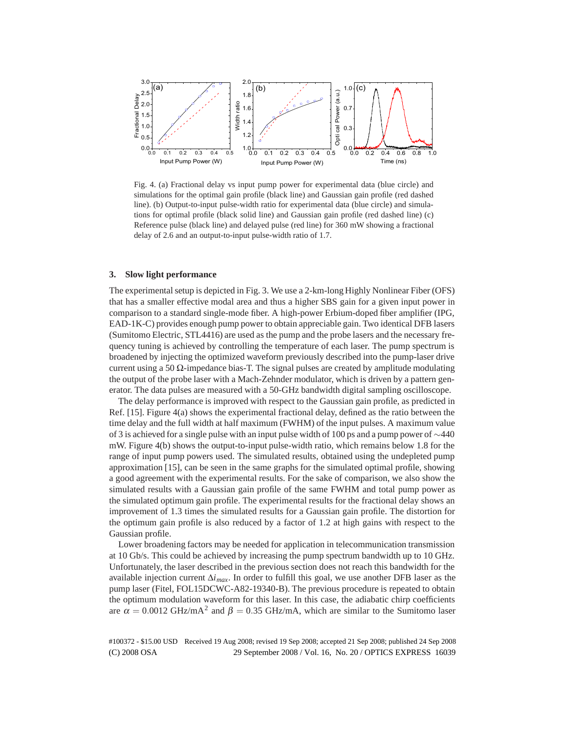

Fig. 4. (a) Fractional delay vs input pump power for experimental data (blue circle) and simulations for the optimal gain profile (black line) and Gaussian gain profile (red dashed line). (b) Output-to-input pulse-width ratio for experimental data (blue circle) and simulations for optimal profile (black solid line) and Gaussian gain profile (red dashed line) (c) Reference pulse (black line) and delayed pulse (red line) for 360 mW showing a fractional delay of 2.6 and an output-to-input pulse-width ratio of 1.7.

## **3. Slow light performance**

The experimental setup is depicted in Fig. 3. We use a 2-km-long Highly Nonlinear Fiber (OFS) that has a smaller effective modal area and thus a higher SBS gain for a given input power in comparison to a standard single-mode fiber. A high-power Erbium-doped fiber amplifier (IPG, EAD-1K-C) provides enough pump power to obtain appreciable gain. Two identical DFB lasers (Sumitomo Electric, STL4416) are used as the pump and the probe lasers and the necessary frequency tuning is achieved by controlling the temperature of each laser. The pump spectrum is broadened by injecting the optimized waveform previously described into the pump-laser drive current using a 50  $\Omega$ -impedance bias-T. The signal pulses are created by amplitude modulating the output of the probe laser with a Mach-Zehnder modulator, which is driven by a pattern generator. The data pulses are measured with a 50-GHz bandwidth digital sampling oscilloscope.

The delay performance is improved with respect to the Gaussian gain profile, as predicted in Ref. [15]. Figure 4(a) shows the experimental fractional delay, defined as the ratio between the time delay and the full width at half maximum (FWHM) of the input pulses. A maximum value of 3 is achieved for a single pulse with an input pulse width of 100 ps and a pump power of ∼440 mW. Figure 4(b) shows the output-to-input pulse-width ratio, which remains below 1.8 for the range of input pump powers used. The simulated results, obtained using the undepleted pump approximation [15], can be seen in the same graphs for the simulated optimal profile, showing a good agreement with the experimental results. For the sake of comparison, we also show the simulated results with a Gaussian gain profile of the same FWHM and total pump power as the simulated optimum gain profile. The experimental results for the fractional delay shows an improvement of 1.3 times the simulated results for a Gaussian gain profile. The distortion for the optimum gain profile is also reduced by a factor of 1.2 at high gains with respect to the Gaussian profile.

Lower broadening factors may be needed for application in telecommunication transmission at 10 Gb/s. This could be achieved by increasing the pump spectrum bandwidth up to 10 GHz. Unfortunately, the laser described in the previous section does not reach this bandwidth for the available injection current Δ*imax*. In order to fulfill this goal, we use another DFB laser as the pump laser (Fitel, FOL15DCWC-A82-19340-B). The previous procedure is repeated to obtain the optimum modulation waveform for this laser. In this case, the adiabatic chirp coefficients are  $\alpha = 0.0012 \text{ GHz/mA}^2$  and  $\beta = 0.35 \text{ GHz/mA}$ , which are similar to the Sumitomo laser

(C) 2008 OSA 29 September 2008 / Vol. 16, No. 20 / OPTICS EXPRESS 16039 #100372 - \$15.00 USD Received 19 Aug 2008; revised 19 Sep 2008; accepted 21 Sep 2008; published 24 Sep 2008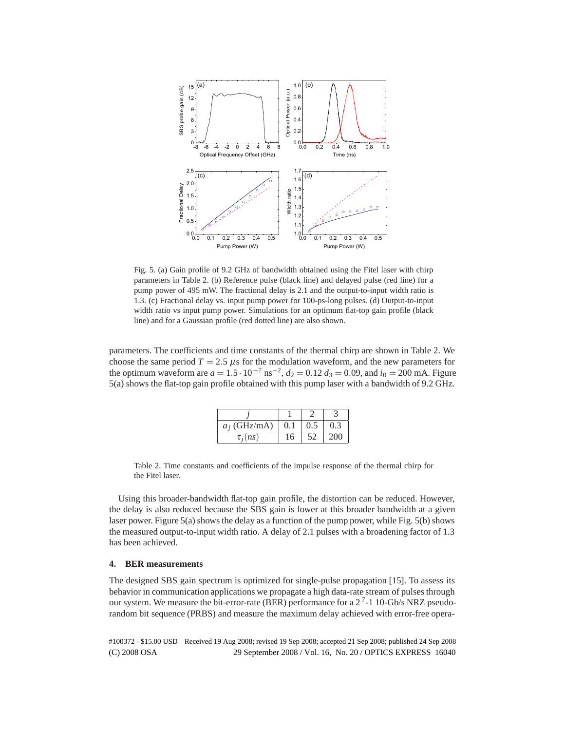

Fig. 5. (a) Gain profile of 9.2 GHz of bandwidth obtained using the Fitel laser with chirp parameters in Table 2. (b) Reference pulse (black line) and delayed pulse (red line) for a pump power of 495 mW. The fractional delay is 2.1 and the output-to-input width ratio is 1.3. (c) Fractional delay vs. input pump power for 100-ps-long pulses. (d) Output-to-input width ratio vs input pump power. Simulations for an optimum flat-top gain profile (black line) and for a Gaussian profile (red dotted line) are also shown.

parameters. The coefficients and time constants of the thermal chirp are shown in Table 2. We choose the same period  $T = 2.5 \mu s$  for the modulation waveform, and the new parameters for the optimum waveform are  $a = 1.5 \cdot 10^{-7}$  ns<sup>-2</sup>,  $d_2 = 0.12$   $d_3 = 0.09$ , and  $i_0 = 200$  mA. Figure 5(a) shows the flat-top gain profile obtained with this pump laser with a bandwidth of 9.2 GHz.

| $a_i$ (GHz/mA) |     | 0.5 |  |
|----------------|-----|-----|--|
| $\tau_i(n s)$  | 16. |     |  |

Table 2. Time constants and coefficients of the impulse response of the thermal chirp for the Fitel laser.

Using this broader-bandwidth flat-top gain profile, the distortion can be reduced. However, the delay is also reduced because the SBS gain is lower at this broader bandwidth at a given laser power. Figure 5(a) shows the delay as a function of the pump power, while Fig. 5(b) shows the measured output-to-input width ratio. A delay of 2.1 pulses with a broadening factor of 1.3 has been achieved.

## **4. BER measurements**

The designed SBS gain spectrum is optimized for single-pulse propagation [15]. To assess its behavior in communication applications we propagate a high data-rate stream of pulses through our system. We measure the bit-error-rate (BER) performance for a  $2^7$ -1 10-Gb/s NRZ pseudorandom bit sequence (PRBS) and measure the maximum delay achieved with error-free opera-

(C) 2008 OSA 29 September 2008 / Vol. 16, No. 20 / OPTICS EXPRESS 16040 #100372 - \$15.00 USD Received 19 Aug 2008; revised 19 Sep 2008; accepted 21 Sep 2008; published 24 Sep 2008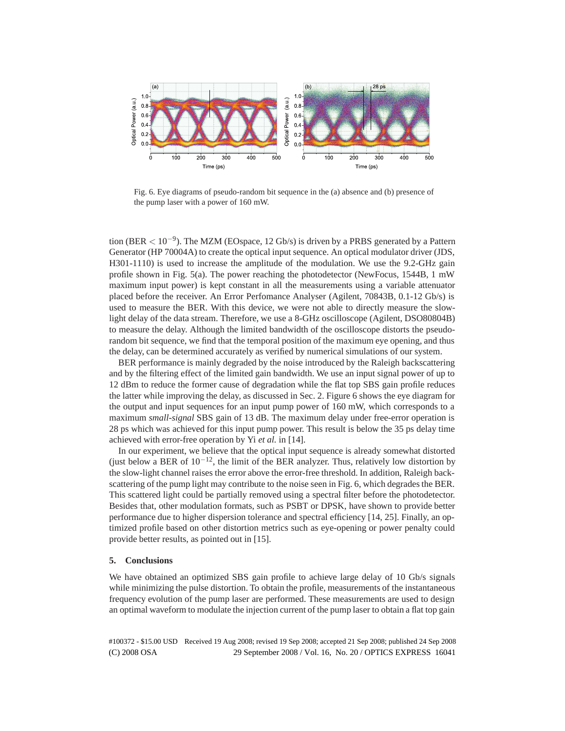

Fig. 6. Eye diagrams of pseudo-random bit sequence in the (a) absence and (b) presence of the pump laser with a power of 160 mW.

tion (BER *<* 10−9). The MZM (EOspace, 12 Gb/s) is driven by a PRBS generated by a Pattern Generator (HP 70004A) to create the optical input sequence. An optical modulator driver (JDS, H301-1110) is used to increase the amplitude of the modulation. We use the 9.2-GHz gain profile shown in Fig. 5(a). The power reaching the photodetector (NewFocus, 1544B, 1 mW maximum input power) is kept constant in all the measurements using a variable attenuator placed before the receiver. An Error Perfomance Analyser (Agilent, 70843B, 0.1-12 Gb/s) is used to measure the BER. With this device, we were not able to directly measure the slowlight delay of the data stream. Therefore, we use a 8-GHz oscilloscope (Agilent, DSO80804B) to measure the delay. Although the limited bandwidth of the oscilloscope distorts the pseudorandom bit sequence, we find that the temporal position of the maximum eye opening, and thus the delay, can be determined accurately as verified by numerical simulations of our system.

BER performance is mainly degraded by the noise introduced by the Raleigh backscattering and by the filtering effect of the limited gain bandwidth. We use an input signal power of up to 12 dBm to reduce the former cause of degradation while the flat top SBS gain profile reduces the latter while improving the delay, as discussed in Sec. 2. Figure 6 shows the eye diagram for the output and input sequences for an input pump power of 160 mW, which corresponds to a maximum *small-signal* SBS gain of 13 dB. The maximum delay under free-error operation is 28 ps which was achieved for this input pump power. This result is below the 35 ps delay time achieved with error-free operation by Yi *et al.* in [14].

In our experiment, we believe that the optical input sequence is already somewhat distorted (just below a BER of  $10^{-12}$ , the limit of the BER analyzer. Thus, relatively low distortion by the slow-light channel raises the error above the error-free threshold. In addition, Raleigh backscattering of the pump light may contribute to the noise seen in Fig. 6, which degrades the BER. This scattered light could be partially removed using a spectral filter before the photodetector. Besides that, other modulation formats, such as PSBT or DPSK, have shown to provide better performance due to higher dispersion tolerance and spectral efficiency [14, 25]. Finally, an optimized profile based on other distortion metrics such as eye-opening or power penalty could provide better results, as pointed out in [15].

### **5. Conclusions**

We have obtained an optimized SBS gain profile to achieve large delay of 10 Gb/s signals while minimizing the pulse distortion. To obtain the profile, measurements of the instantaneous frequency evolution of the pump laser are performed. These measurements are used to design an optimal waveform to modulate the injection current of the pump laser to obtain a flat top gain

(C) 2008 OSA 29 September 2008 / Vol. 16, No. 20 / OPTICS EXPRESS 16041 #100372 - \$15.00 USD Received 19 Aug 2008; revised 19 Sep 2008; accepted 21 Sep 2008; published 24 Sep 2008